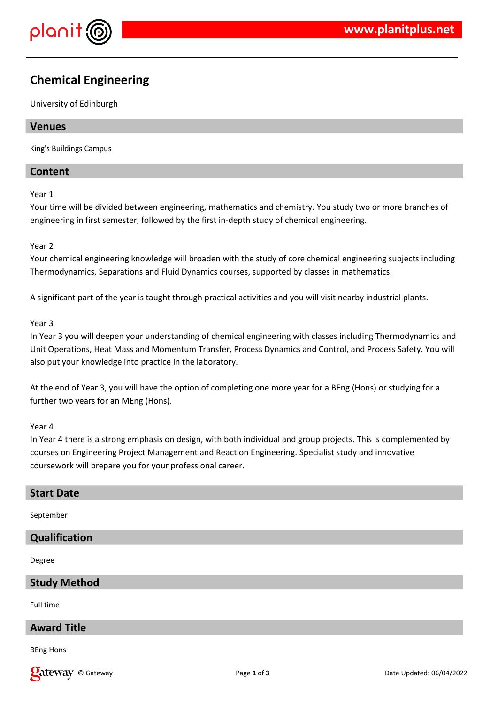

# **Chemical Engineering**

University of Edinburgh

# **Venues**

King's Buildings Campus

# **Content**

Year 1

Your time will be divided between engineering, mathematics and chemistry. You study two or more branches of engineering in first semester, followed by the first in-depth study of chemical engineering.

## Year 2

Your chemical engineering knowledge will broaden with the study of core chemical engineering subjects including Thermodynamics, Separations and Fluid Dynamics courses, supported by classes in mathematics.

A significant part of the year is taught through practical activities and you will visit nearby industrial plants.

## Year 3

In Year 3 you will deepen your understanding of chemical engineering with classes including Thermodynamics and Unit Operations, Heat Mass and Momentum Transfer, Process Dynamics and Control, and Process Safety. You will also put your knowledge into practice in the laboratory.

At the end of Year 3, you will have the option of completing one more year for a BEng (Hons) or studying for a further two years for an MEng (Hons).

## Year 4

In Year 4 there is a strong emphasis on design, with both individual and group projects. This is complemented by courses on Engineering Project Management and Reaction Engineering. Specialist study and innovative coursework will prepare you for your professional career.

# **Start Date**

September

# **Qualification**

Degree

# **Study Method**

Full time

# **Award Title**

BEng Hons

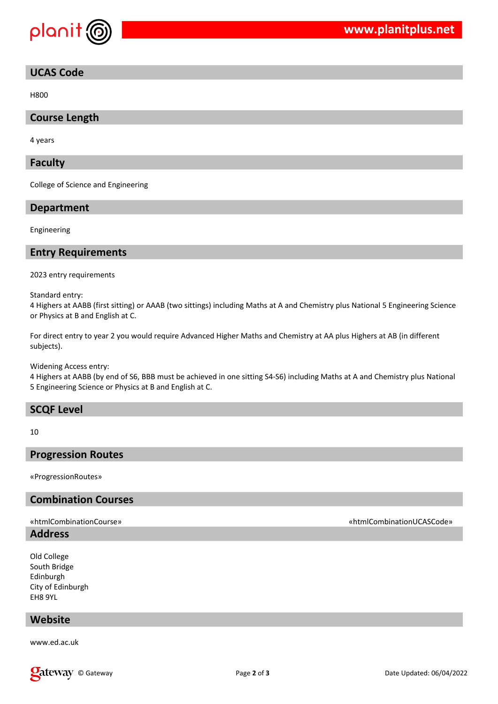

# **UCAS Code**

H800

# **Course Length**

4 years

## **Faculty**

College of Science and Engineering

## **Department**

Engineering

## **Entry Requirements**

2023 entry requirements

Standard entry:

4 Highers at AABB (first sitting) or AAAB (two sittings) including Maths at A and Chemistry plus National 5 Engineering Science or Physics at B and English at C.

For direct entry to year 2 you would require Advanced Higher Maths and Chemistry at AA plus Highers at AB (in different subjects).

Widening Access entry:

4 Highers at AABB (by end of S6, BBB must be achieved in one sitting S4-S6) including Maths at A and Chemistry plus National 5 Engineering Science or Physics at B and English at C.

## **SCQF Level**

10

## **Progression Routes**

«ProgressionRoutes»

## **Combination Courses**

## **Address**

Old College South Bridge Edinburgh City of Edinburgh EH8 9YL

# **Website**

www.ed.ac.uk



## «htmlCombinationCourse» «htmlCombinationUCASCode»